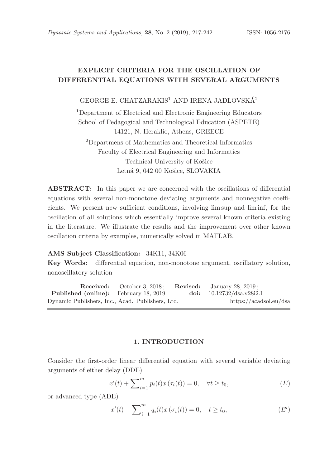# EXPLICIT CRITERIA FOR THE OSCILLATION OF DIFFERENTIAL EQUATIONS WITH SEVERAL ARGUMENTS

GEORGE E. CHATZARAKIS<sup>1</sup> AND IRENA JADLOVSKÁ<sup>2</sup>

<sup>1</sup>Department of Electrical and Electronic Engineering Educators School of Pedagogical and Technological Education (ASPETE) 14121, N. Heraklio, Athens, GREECE

<sup>2</sup>Departmens of Mathematics and Theoretical Informatics Faculty of Electrical Engineering and Informatics Technical University of Košice Letná 9, 042 00 Košice, SLOVAKIA

ABSTRACT: In this paper we are concerned with the oscillations of differential equations with several non-monotone deviating arguments and nonnegative coefficients. We present new sufficient conditions, involving lim sup and lim inf, for the oscillation of all solutions which essentially improve several known criteria existing in the literature. We illustrate the results and the improvement over other known oscillation criteria by examples, numerically solved in MATLAB.

### AMS Subject Classification: 34K11, 34K06

Key Words: differential equation, non-monotone argument, oscillatory solution, nonoscillatory solution

Received: October 3, 2018; Revised: January 28, 2019; Published (online): February 18, 2019 doi: 10.12732/dsa.v28i2.1 Dynamic Publishers, Inc., Acad. Publishers, Ltd. https://acadsol.eu/dsa

#### 1. INTRODUCTION

Consider the first-order linear differential equation with several variable deviating arguments of either delay (DDE)

$$
x'(t) + \sum_{i=1}^{m} p_i(t)x(\tau_i(t)) = 0, \quad \forall t \ge t_0,
$$
\n(E)

or advanced type (ADE)

$$
x'(t) - \sum_{i=1}^{m} q_i(t)x(\sigma_i(t)) = 0, \quad t \ge t_0,
$$
 (E')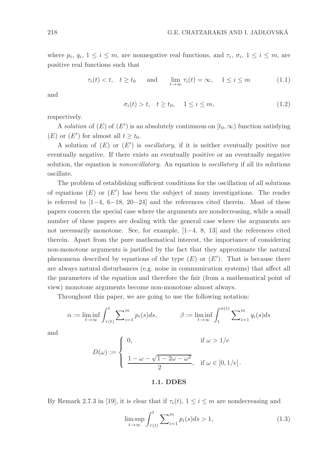where  $p_i, q_i, 1 \leq i \leq m$ , are nonnegative real functions, and  $\tau_i, \sigma_i, 1 \leq i \leq m$ , are positive real functions such that

$$
\tau_i(t) < t, \quad t \ge t_0 \qquad \text{and} \qquad \lim_{t \to \infty} \tau_i(t) = \infty, \quad 1 \le i \le m \tag{1.1}
$$

and

$$
\sigma_i(t) > t, \quad t \ge t_0, \quad 1 \le i \le m,\tag{1.2}
$$

respectively.

A solution of  $(E)$  of  $(E')$  is an absolutely continuous on  $[t_0, \infty)$  function satisfying (E) or (E') for almost all  $t \ge t_0$ .

A solution of  $(E)$  or  $(E')$  is *oscillatory*, if it is neither eventually positive nor eventually negative. If there exists an eventually positive or an eventually negative solution, the equation is *nonoscillatory*. An equation is *oscillatory* if all its solutions oscillate.

The problem of establishing sufficient conditions for the oscillation of all solutions of equations  $(E)$  or  $(E')$  has been the subject of many investigations. The reader is referred to [1−4, 6−18, 20−24] and the references cited therein. Most of these papers concern the special case where the arguments are nondecreasing, while a small number of these papers are dealing with the general case where the arguments are not necessarily monotone. See, for example, [1−4, 8, 13] and the references cited therein. Apart from the pure mathematical interest, the importance of considering non-monotone arguments is justified by the fact that they approximate the natural phenomena described by equations of the type  $(E)$  or  $(E')$ . That is because there are always natural disturbances (e.g. noise in communication systems) that affect all the parameters of the equation and therefore the fair (from a mathematical point of view) monotone arguments become non-monotone almost always.

Throughout this paper, we are going to use the following notation:

$$
\alpha := \liminf_{t \to \infty} \int_{\tau(t)}^t \sum_{i=1}^m p_i(s) ds, \qquad \beta := \liminf_{t \to \infty} \int_t^{\sigma(t)} \sum_{i=1}^m q_i(s) ds
$$

and

$$
D(\omega) := \begin{cases} 0, & \text{if } \omega > 1/e \\ \frac{1 - \omega - \sqrt{1 - 2\omega - \omega^2}}{2}, & \text{if } \omega \in [0, 1/e]. \end{cases}
$$

#### 1.1. DDES

By Remark 2.7.3 in [19], it is clear that if  $\tau_i(t)$ ,  $1 \leq i \leq m$  are nondecreasing and

$$
\limsup_{t \to \infty} \int_{\tau(t)}^t \sum_{i=1}^m p_i(s) ds > 1,
$$
\n(1.3)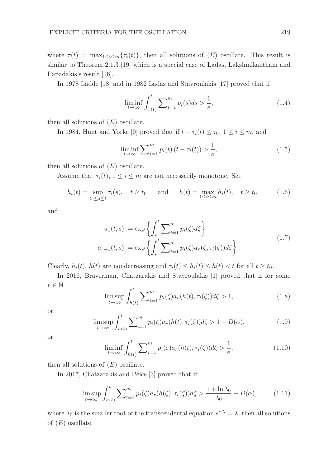where  $\tau(t) = \max_{1 \le i \le m} {\tau_i(t)}$ , then all solutions of  $(E)$  oscillate. This result is similar to Theorem 2.1.3 [19] which is a special case of Ladas, Lakshmikantham and Papadakis's result [16].

In 1978 Ladde [18] and in 1982 Ladas and Stavroulakis [17] proved that if

$$
\liminf_{t \to \infty} \int_{\tau(t)}^t \sum_{i=1}^m p_i(s) ds > \frac{1}{e},\tag{1.4}
$$

then all solutions of  $(E)$  oscillate.

In 1984, Hunt and Yorke [9] proved that if  $t - \tau_i(t) \leq \tau_0$ ,  $1 \leq i \leq m$ , and

$$
\liminf_{t \to \infty} \sum_{i=1}^{m} p_i(t) \left( t - \tau_i(t) \right) > \frac{1}{e}, \tag{1.5}
$$

then all solutions of  $(E)$  oscillate.

Assume that  $\tau_i(t)$ ,  $1 \leq i \leq m$  are not necessarily monotone. Set

$$
h_i(t) = \sup_{t_0 \le s \le t} \tau_i(s), \quad t \ge t_0 \quad \text{and} \quad h(t) = \max_{1 \le i \le m} h_i(t), \quad t \ge t_0
$$
 (1.6)

and

$$
a_1(t,s) := \exp\left\{ \int_s^t \sum_{i=1}^m p_i(\zeta) d\zeta \right\}
$$
  

$$
a_{r+1}(t,s) := \exp\left\{ \int_s^t \sum_{i=1}^m p_i(\zeta) a_r(\zeta, \tau_i(\zeta)) d\zeta \right\}.
$$
 (1.7)

Clearly,  $h_i(t)$ ,  $h(t)$  are nondecreasing and  $\tau_i(t) \leq h_i(t) \leq h(t) < t$  for all  $t \geq t_0$ .

In 2016, Braverman, Chatzarakis and Stavroulakis [1] proved that if for some  $r \in \mathbb{N}$ 

$$
\limsup_{t \to \infty} \int_{h(t)}^{t} \sum_{i=1}^{m} p_i(\zeta) a_r(h(t), \tau_i(\zeta)) d\zeta > 1,
$$
\n(1.8)

or

$$
\limsup_{t \to \infty} \int_{h(t)}^{t} \sum_{i=1}^{m} p_i(\zeta) a_r(h(t), \tau_i(\zeta)) d\zeta > 1 - D(\alpha), \tag{1.9}
$$

or

$$
\liminf_{t \to \infty} \int_{h(t)}^t \sum_{i=1}^m p_i(\zeta) a_r(h(t), \tau_i(\zeta)) d\zeta > \frac{1}{e},\tag{1.10}
$$

then all solutions of  $(E)$  oscillate.

In 2017, Chatzarakis and Péics  $[3]$  proved that if

$$
\limsup_{t \to \infty} \int_{h(t)}^{t} \sum_{i=1}^{m} p_i(\zeta) a_r(h(\zeta), \tau_i(\zeta)) d\zeta > \frac{1 + \ln \lambda_0}{\lambda_0} - D(\alpha), \tag{1.11}
$$

where  $\lambda_0$  is the smaller root of the transcendental equation  $e^{\alpha\lambda} = \lambda$ , then all solutions of  $(E)$  oscillate.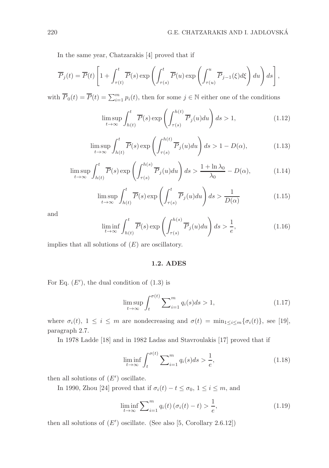In the same year, Chatzarakis [4] proved that if

$$
\overline{P}_j(t) = \overline{P}(t) \left[ 1 + \int_{\tau(t)}^t \overline{P}(s) \exp \left( \int_{\tau(s)}^t \overline{P}(u) \exp \left( \int_{\tau(u)}^u \overline{P}_{j-1}(\xi) d\xi \right) du \right) ds \right],
$$

with  $\overline{P}_0(t) = \overline{P}(t) = \sum_{i=1}^m p_i(t)$ , then for some  $j \in \mathbb{N}$  either one of the conditions

$$
\limsup_{t \to \infty} \int_{h(t)}^{t} \overline{P}(s) \exp\left(\int_{\tau(s)}^{h(t)} \overline{P}_j(u) du\right) ds > 1,
$$
\n(1.12)

$$
\limsup_{t \to \infty} \int_{h(t)}^t \overline{P}(s) \exp\left(\int_{\tau(s)}^{h(t)} \overline{P}_j(u) du\right) ds > 1 - D(\alpha),\tag{1.13}
$$

$$
\limsup_{t \to \infty} \int_{h(t)}^{t} \overline{P}(s) \exp\left(\int_{\tau(s)}^{h(s)} \overline{P}_j(u) du\right) ds > \frac{1 + \ln \lambda_0}{\lambda_0} - D(\alpha),\tag{1.14}
$$

$$
\limsup_{t \to \infty} \int_{h(t)}^{t} \overline{P}(s) \exp\left(\int_{\tau(s)}^{t} \overline{P}_j(u) du\right) ds > \frac{1}{D(\alpha)}\tag{1.15}
$$

and

$$
\liminf_{t \to \infty} \int_{h(t)}^t \overline{P}(s) \exp\left(\int_{\tau(s)}^{h(s)} \overline{P}_j(u) du\right) ds > \frac{1}{e},\tag{1.16}
$$

implies that all solutions of  $(E)$  are oscillatory.

#### 1.2. ADES

For Eq.  $(E')$ , the dual condition of  $(1.3)$  is

$$
\limsup_{t \to \infty} \int_{t}^{\sigma(t)} \sum_{i=1}^{m} q_i(s) ds > 1,
$$
\n(1.17)

where  $\sigma_i(t)$ ,  $1 \leq i \leq m$  are nondecreasing and  $\sigma(t) = \min_{1 \leq i \leq m} {\{\sigma_i(t)\}}$ , see [19], paragraph 2.7.

In 1978 Ladde [18] and in 1982 Ladas and Stavroulakis [17] proved that if

$$
\liminf_{t \to \infty} \int_{t}^{\sigma(t)} \sum_{i=1}^{m} q_i(s) ds > \frac{1}{e},
$$
\n(1.18)

then all solutions of  $(E')$  oscillate.

In 1990, Zhou [24] proved that if  $\sigma_i(t) - t \le \sigma_0$ ,  $1 \le i \le m$ , and

$$
\liminf_{t \to \infty} \sum_{i=1}^{m} q_i(t) \left( \sigma_i(t) - t \right) > \frac{1}{e},\tag{1.19}
$$

then all solutions of  $(E')$  oscillate. (See also [5, Corollary 2.6.12])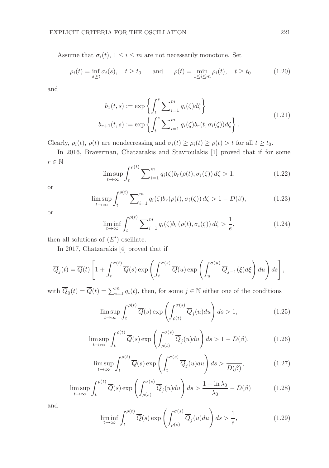Assume that  $\sigma_i(t)$ ,  $1 \leq i \leq m$  are not necessarily monotone. Set

$$
\rho_i(t) = \inf_{s \ge t} \sigma_i(s), \quad t \ge t_0 \quad \text{and} \quad \rho(t) = \min_{1 \le i \le m} \rho_i(t), \quad t \ge t_0 \tag{1.20}
$$

and

$$
b_1(t,s) := \exp\left\{ \int_t^s \sum_{i=1}^m q_i(\zeta) d\zeta \right\}
$$
  

$$
b_{r+1}(t,s) := \exp\left\{ \int_t^s \sum_{i=1}^m q_i(\zeta) b_r(t,\sigma_i(\zeta)) d\zeta \right\}.
$$
 (1.21)

Clearly,  $\rho_i(t)$ ,  $\rho(t)$  are nondecreasing and  $\sigma_i(t) \geq \rho_i(t) \geq \rho(t) > t$  for all  $t \geq t_0$ .

In 2016, Braverman, Chatzarakis and Stavroulakis [1] proved that if for some  $r\in\mathbb{N}$ 

$$
\limsup_{t \to \infty} \int_{t}^{\rho(t)} \sum_{i=1}^{m} q_i(\zeta) b_r(\rho(t), \sigma_i(\zeta)) d\zeta > 1,
$$
\n(1.22)

or

$$
\limsup_{t \to \infty} \int_{t}^{\rho(t)} \sum_{i=1}^{m} q_i(\zeta) b_r(\rho(t), \sigma_i(\zeta)) d\zeta > 1 - D(\beta),
$$
\n(1.23)

or

$$
\liminf_{t \to \infty} \int_{t}^{\rho(t)} \sum_{i=1}^{m} q_i(\zeta) b_r(\rho(t), \sigma_i(\zeta)) d\zeta > \frac{1}{e}, \qquad (1.24)
$$

then all solutions of  $(E')$  oscillate.

In 2017, Chatzarakis [4] proved that if

$$
\overline{Q}_j(t) = \overline{Q}(t) \left[ 1 + \int_t^{\sigma(t)} \overline{Q}(s) \exp \left( \int_t^{\sigma(s)} \overline{Q}(u) \exp \left( \int_u^{\sigma(u)} \overline{Q}_{j-1}(\xi) d\xi \right) du \right) ds \right],
$$

with  $\overline{Q}_0(t) = \overline{Q}(t) = \sum_{i=1}^m q_i(t)$ , then, for some  $j \in \mathbb{N}$  either one of the conditions

$$
\limsup_{t \to \infty} \int_{t}^{\rho(t)} \overline{Q}(s) \exp\left(\int_{\rho(t)}^{\sigma(s)} \overline{Q}_j(u) du\right) ds > 1, \tag{1.25}
$$

$$
\limsup_{t \to \infty} \int_{t}^{\rho(t)} \overline{Q}(s) \exp\left(\int_{\rho(t)}^{\sigma(s)} \overline{Q}_{j}(u) du\right) ds > 1 - D(\beta),\tag{1.26}
$$

$$
\limsup_{t \to \infty} \int_{t}^{\rho(t)} \overline{Q}(s) \exp\left(\int_{t}^{\sigma(s)} \overline{Q}_{j}(u) du\right) ds > \frac{1}{D(\beta)},
$$
\n(1.27)

$$
\limsup_{t \to \infty} \int_{t}^{\rho(t)} \overline{Q}(s) \exp\left(\int_{\rho(s)}^{\sigma(s)} \overline{Q}_{j}(u) du\right) ds > \frac{1 + \ln \lambda_{0}}{\lambda_{0}} - D(\beta)
$$
(1.28)

and

$$
\liminf_{t \to \infty} \int_{t}^{\rho(t)} \overline{Q}(s) \exp\left(\int_{\rho(s)}^{\sigma(s)} \overline{Q}_j(u) du\right) ds > \frac{1}{e},\tag{1.29}
$$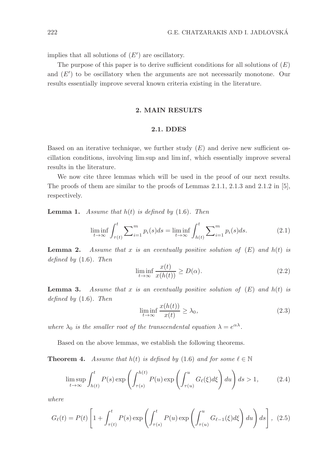implies that all solutions of  $(E')$  are oscillatory.

The purpose of this paper is to derive sufficient conditions for all solutions of  $(E)$ and  $(E')$  to be oscillatory when the arguments are not necessarily monotone. Our results essentially improve several known criteria existing in the literature.

## 2. MAIN RESULTS

#### 2.1. DDES

Based on an iterative technique, we further study  $(E)$  and derive new sufficient oscillation conditions, involving lim sup and lim inf, which essentially improve several results in the literature.

We now cite three lemmas which will be used in the proof of our next results. The proofs of them are similar to the proofs of Lemmas 2.1.1, 2.1.3 and 2.1.2 in [5], respectively.

**Lemma 1.** Assume that  $h(t)$  is defined by (1.6). Then

$$
\liminf_{t \to \infty} \int_{\tau(t)}^t \sum_{i=1}^m p_i(s)ds = \liminf_{t \to \infty} \int_{h(t)}^t \sum_{i=1}^m p_i(s)ds.
$$
 (2.1)

**Lemma 2.** Assume that x is an eventually positive solution of  $(E)$  and  $h(t)$  is defined by  $(1.6)$ . Then

$$
\liminf_{t \to \infty} \frac{x(t)}{x(h(t))} \ge D(\alpha). \tag{2.2}
$$

**Lemma 3.** Assume that x is an eventually positive solution of  $(E)$  and  $h(t)$  is defined by  $(1.6)$ . Then

$$
\liminf_{t \to \infty} \frac{x(h(t))}{x(t)} \ge \lambda_0,\tag{2.3}
$$

where  $\lambda_0$  is the smaller root of the transcendental equation  $\lambda = e^{\alpha \lambda}$ .

Based on the above lemmas, we establish the following theorems.

**Theorem 4.** Assume that  $h(t)$  is defined by (1.6) and for some  $\ell \in \mathbb{N}$ 

$$
\limsup_{t \to \infty} \int_{h(t)}^t P(s) \exp\left(\int_{\tau(s)}^{h(t)} P(u) \exp\left(\int_{\tau(u)}^u G_\ell(\xi) d\xi\right) du\right) ds > 1, \tag{2.4}
$$

where

$$
G_{\ell}(t) = P(t) \left[ 1 + \int_{\tau(t)}^{t} P(s) \exp\left( \int_{\tau(s)}^{t} P(u) \exp\left( \int_{\tau(u)}^{u} G_{\ell-1}(\xi) d\xi \right) du \right) ds \right], (2.5)
$$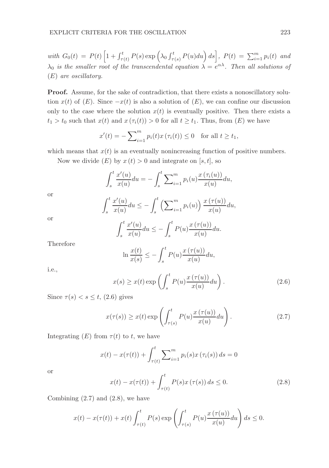with  $G_0(t) = P(t) \left[ 1 + \int_{\tau(t)}^t P(s) \exp \left( \lambda_0 \int_{\tau(s)}^t P(u) du \right) ds \right]$ ,  $P(t) = \sum_{i=1}^m p_i(t)$  and  $\lambda_0$  is the smaller root of the transcendental equation  $\lambda = e^{\alpha \lambda}$ . Then all solutions of (E) are oscillatory.

Proof. Assume, for the sake of contradiction, that there exists a nonoscillatory solution  $x(t)$  of  $(E)$ . Since  $-x(t)$  is also a solution of  $(E)$ , we can confine our discussion only to the case where the solution  $x(t)$  is eventually positive. Then there exists a  $t_1 > t_0$  such that  $x(t)$  and  $x(\tau_i(t)) > 0$  for all  $t \geq t_1$ . Thus, from  $(E)$  we have

$$
x'(t) = -\sum_{i=1}^{m} p_i(t)x(\tau_i(t)) \le 0 \quad \text{for all } t \ge t_1,
$$

which means that  $x(t)$  is an eventually nonincreasing function of positive numbers.

Now we divide  $(E)$  by  $x(t) > 0$  and integrate on [s, t], so

$$
\int_{s}^{t} \frac{x'(u)}{x(u)} du = - \int_{s}^{t} \sum_{i=1}^{m} p_i(u) \frac{x(\tau_i(u))}{x(u)} du,
$$

or

$$
\int_{s}^{t} \frac{x'(u)}{x(u)} du \leq -\int_{s}^{t} \left(\sum_{i=1}^{m} p_i(u)\right) \frac{x(\tau(u))}{x(u)} du,
$$

$$
\overline{or}
$$

$$
\int_{s}^{t} \frac{x'(u)}{x(u)} du \leq -\int_{s}^{t} P(u) \frac{x(\tau(u))}{x(u)} du.
$$

Therefore

$$
\ln \frac{x(t)}{x(s)} \le -\int_s^t P(u) \frac{x(\tau(u))}{x(u)} du,
$$

i.e.,

$$
x(s) \ge x(t) \exp\left(\int_s^t P(u) \frac{x(\tau(u))}{x(u)} du\right).
$$
 (2.6)

Since  $\tau(s) < s \leq t$ , (2.6) gives

$$
x(\tau(s)) \ge x(t) \exp\left(\int_{\tau(s)}^t P(u) \frac{x(\tau(u))}{x(u)} du\right).
$$
 (2.7)

Integrating  $(E)$  from  $\tau(t)$  to t, we have

J

$$
x(t) - x(\tau(t)) + \int_{\tau(t)}^{t} \sum_{i=1}^{m} p_i(s) x(\tau_i(s)) ds = 0
$$

or

$$
x(t) - x(\tau(t)) + \int_{\tau(t)}^{t} P(s)x(\tau(s)) ds \le 0.
$$
 (2.8)

Combining  $(2.7)$  and  $(2.8)$ , we have

$$
x(t) - x(\tau(t)) + x(t) \int_{\tau(t)}^t P(s) \exp\left(\int_{\tau(s)}^t P(u) \frac{x(\tau(u))}{x(u)} du\right) ds \le 0.
$$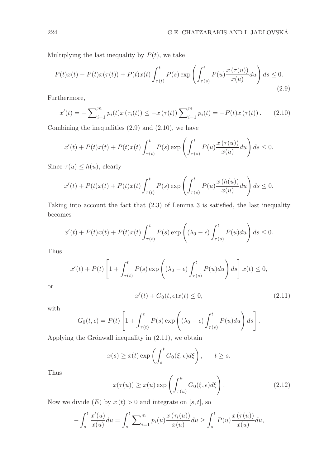Multiplying the last inequality by  $P(t)$ , we take

$$
P(t)x(t) - P(t)x(\tau(t)) + P(t)x(t)\int_{\tau(t)}^t P(s) \exp\left(\int_{\tau(s)}^t P(u)\frac{x(\tau(u))}{x(u)}du\right)ds \le 0.
$$
\n(2.9)

Furthermore,

$$
x'(t) = -\sum_{i=1}^{m} p_i(t)x(\tau_i(t)) \leq -x(\tau(t))\sum_{i=1}^{m} p_i(t) = -P(t)x(\tau(t)).
$$
 (2.10)

Combining the inequalities  $(2.9)$  and  $(2.10)$ , we have

$$
x'(t) + P(t)x(t) + P(t)x(t) \int_{\tau(t)}^t P(s) \exp\left(\int_{\tau(s)}^t P(u) \frac{x(\tau(u))}{x(u)} du\right) ds \le 0.
$$

Since  $\tau(u) \leq h(u)$ , clearly

$$
x'(t) + P(t)x(t) + P(t)x(t) \int_{\tau(t)}^t P(s) \exp\left(\int_{\tau(s)}^t P(u) \frac{x(h(u))}{x(u)} du\right) ds \le 0.
$$

Taking into account the fact that (2.3) of Lemma 3 is satisfied, the last inequality becomes

$$
x'(t) + P(t)x(t) + P(t)x(t) \int_{\tau(t)}^t P(s) \exp\left((\lambda_0 - \epsilon) \int_{\tau(s)}^t P(u) du\right) ds \le 0.
$$

Thus

$$
x'(t) + P(t) \left[ 1 + \int_{\tau(t)}^t P(s) \exp\left( (\lambda_0 - \epsilon) \int_{\tau(s)}^t P(u) du \right) ds \right] x(t) \le 0,
$$
  

$$
x'(t) + G_0(t, \epsilon) x(t) \le 0,
$$
 (2.11)

with

or

$$
G_0(t,\epsilon) = P(t) \left[ 1 + \int_{\tau(t)}^t P(s) \exp \left( (\lambda_0 - \epsilon) \int_{\tau(s)}^t P(u) du \right) ds \right].
$$

Applying the Grönwall inequality in  $(2.11)$ , we obtain

$$
x(s) \ge x(t) \exp\left(\int_s^t G_0(\xi, \epsilon) d\xi\right), \quad t \ge s.
$$

Thus

$$
x(\tau(u)) \ge x(u) \exp\left(\int_{\tau(u)}^u G_0(\xi, \epsilon) d\xi\right). \tag{2.12}
$$

Now we divide  $(E)$  by  $x(t) > 0$  and integrate on [s, t], so

$$
-\int_{s}^{t} \frac{x'(u)}{x(u)} du = \int_{s}^{t} \sum_{i=1}^{m} p_i(u) \frac{x(\tau_i(u))}{x(u)} du \ge \int_{s}^{t} P(u) \frac{x(\tau(u))}{x(u)} du,
$$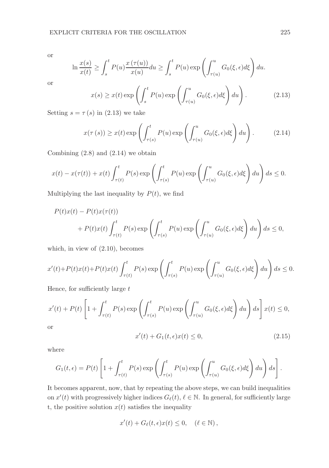or

$$
\ln \frac{x(s)}{x(t)} \ge \int_s^t P(u) \frac{x(\tau(u))}{x(u)} du \ge \int_s^t P(u) \exp \left( \int_{\tau(u)}^u G_0(\xi, \epsilon) d\xi \right) du.
$$

or

$$
x(s) \ge x(t) \exp\left(\int_s^t P(u) \exp\left(\int_{\tau(u)}^u G_0(\xi, \epsilon) d\xi\right) du\right).
$$
 (2.13)

Setting  $s = \tau(s)$  in (2.13) we take

$$
x(\tau(s)) \ge x(t) \exp\left(\int_{\tau(s)}^t P(u) \exp\left(\int_{\tau(u)}^u G_0(\xi, \epsilon) d\xi\right) du\right).
$$
 (2.14)

Combining  $(2.8)$  and  $(2.14)$  we obtain

$$
x(t) - x(\tau(t)) + x(t) \int_{\tau(t)}^t P(s) \exp\left(\int_{\tau(s)}^t P(u) \exp\left(\int_{\tau(u)}^u G_0(\xi, \epsilon) d\xi\right) du\right) ds \le 0.
$$

Multiplying the last inequality by  $P(t)$ , we find

$$
P(t)x(t) - P(t)x(\tau(t))
$$
  
+ 
$$
P(t)x(t)\int_{\tau(t)}^{t} P(s) \exp\left(\int_{\tau(s)}^{t} P(u) \exp\left(\int_{\tau(u)}^{u} G_0(\xi, \epsilon) d\xi\right) du\right) ds \le 0,
$$

which, in view of (2.10), becomes

$$
x'(t) + P(t)x(t) + P(t)x(t) \int_{\tau(t)}^t P(s) \exp\left(\int_{\tau(s)}^t P(u) \exp\left(\int_{\tau(u)}^u G_0(\xi, \epsilon) d\xi\right) du\right) ds \le 0.
$$

Hence, for sufficiently large  $t$ 

$$
x'(t) + P(t) \left[ 1 + \int_{\tau(t)}^t P(s) \exp\left( \int_{\tau(s)}^t P(u) \exp\left( \int_{\tau(u)}^u G_0(\xi, \epsilon) d\xi \right) du \right) ds \right] x(t) \le 0,
$$

or

$$
x'(t) + G_1(t, \epsilon)x(t) \le 0,
$$
\n(2.15)

where

$$
G_1(t,\epsilon) = P(t) \left[ 1 + \int_{\tau(t)}^t P(s) \exp \left( \int_{\tau(s)}^t P(u) \exp \left( \int_{\tau(u)}^u G_0(\xi,\epsilon) d\xi \right) du \right) ds \right].
$$

It becomes apparent, now, that by repeating the above steps, we can build inequalities on  $x'(t)$  with progressively higher indices  $G_{\ell}(t)$ ,  $\ell \in \mathbb{N}$ . In general, for sufficiently large t, the positive solution  $x(t)$  satisfies the inequality

$$
x'(t) + G_{\ell}(t, \epsilon) x(t) \le 0, \quad (\ell \in \mathbb{N}),
$$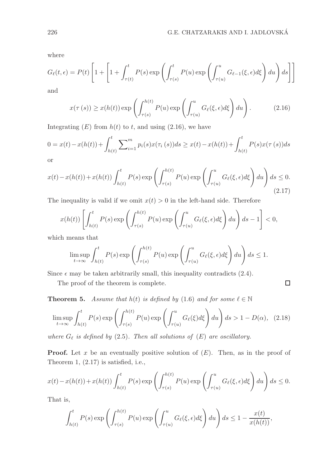$\Box$ 

where

$$
G_{\ell}(t,\epsilon) = P(t) \left[ 1 + \left[ 1 + \int_{\tau(t)}^{t} P(s) \exp \left( \int_{\tau(s)}^{t} P(u) \exp \left( \int_{\tau(u)}^{u} G_{\ell-1}(\xi,\epsilon) d\xi \right) du \right) ds \right] \right]
$$

and

$$
x(\tau(s)) \ge x(h(t)) \exp\left(\int_{\tau(s)}^{h(t)} P(u) \exp\left(\int_{\tau(u)}^u G_\ell(\xi,\epsilon) d\xi\right) du\right).
$$
 (2.16)

Integrating  $(E)$  from  $h(t)$  to t, and using  $(2.16)$ , we have

$$
0 = x(t) - x(h(t)) + \int_{h(t)}^{t} \sum_{i=1}^{m} p_i(s) x(\tau_i(s)) ds \ge x(t) - x(h(t)) + \int_{h(t)}^{t} P(s) x(\tau(s)) ds
$$

or

$$
x(t) - x(h(t)) + x(h(t)) \int_{h(t)}^t P(s) \exp\left(\int_{\tau(s)}^{h(t)} P(u) \exp\left(\int_{\tau(u)}^u G_\ell(\xi, \epsilon) d\xi\right) du\right) ds \le 0.
$$
\n(2.17)

The inequality is valid if we omit  $x(t) > 0$  in the left-hand side. Therefore

$$
x(h(t))\left[\int_{h(t)}^t P(s) \exp\left(\int_{\tau(s)}^{h(t)} P(u) \exp\left(\int_{\tau(u)}^u G_\ell(\xi,\epsilon)d\xi\right) du\right) ds - 1\right] < 0,
$$

which means that

$$
\limsup_{t \to \infty} \int_{h(t)}^t P(s) \exp\left(\int_{\tau(s)}^{h(t)} P(u) \exp\left(\int_{\tau(u)}^u G_{\ell}(\xi, \epsilon) d\xi\right) du\right) ds \le 1.
$$

Since  $\epsilon$  may be taken arbitrarily small, this inequality contradicts (2.4).

The proof of the theorem is complete.

**Theorem 5.** Assume that  $h(t)$  is defined by (1.6) and for some  $\ell \in \mathbb{N}$ 

$$
\limsup_{t \to \infty} \int_{h(t)}^t P(s) \exp\left(\int_{\tau(s)}^{h(t)} P(u) \exp\left(\int_{\tau(u)}^u G_\ell(\xi) d\xi\right) du\right) ds > 1 - D(\alpha), \tag{2.18}
$$

where  $G_{\ell}$  is defined by (2.5). Then all solutions of  $(E)$  are oscillatory.

**Proof.** Let x be an eventually positive solution of  $(E)$ . Then, as in the proof of Theorem 1, (2.17) is satisfied, i.e.,

$$
x(t) - x(h(t)) + x(h(t)) \int_{h(t)}^t P(s) \exp\left(\int_{\tau(s)}^{h(t)} P(u) \exp\left(\int_{\tau(u)}^u G_\ell(\xi, \epsilon) d\xi\right) du\right) ds \le 0.
$$

That is,

$$
\int_{h(t)}^t P(s) \exp\left(\int_{\tau(s)}^{h(t)} P(u) \exp\left(\int_{\tau(u)}^u G_\ell(\xi, \epsilon) d\xi\right) du\right) ds \le 1 - \frac{x(t)}{x(h(t))},
$$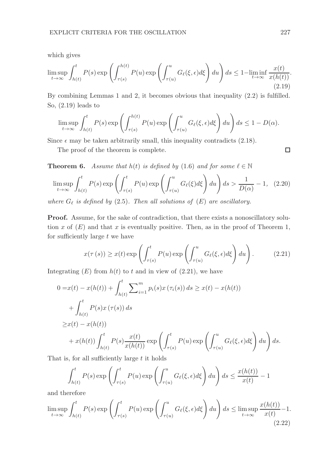which gives

$$
\limsup_{t \to \infty} \int_{h(t)}^t P(s) \exp\left(\int_{\tau(s)}^{h(t)} P(u) \exp\left(\int_{\tau(u)}^u G_{\ell}(\xi, \epsilon) d\xi\right) du\right) ds \le 1 - \liminf_{t \to \infty} \frac{x(t)}{x(h(t))}.
$$
\n(2.19)

By combining Lemmas 1 and 2, it becomes obvious that inequality (2.2) is fulfilled. So, (2.19) leads to

$$
\limsup_{t \to \infty} \int_{h(t)}^t P(s) \exp\left(\int_{\tau(s)}^{h(t)} P(u) \exp\left(\int_{\tau(u)}^u G_{\ell}(\xi, \epsilon) d\xi\right) du\right) ds \le 1 - D(\alpha).
$$

Since  $\epsilon$  may be taken arbitrarily small, this inequality contradicts (2.18).

The proof of the theorem is complete.

**Theorem 6.** Assume that  $h(t)$  is defined by (1.6) and for some  $\ell \in \mathbb{N}$ 

$$
\limsup_{t \to \infty} \int_{h(t)}^t P(s) \exp\left(\int_{\tau(s)}^t P(u) \exp\left(\int_{\tau(u)}^u G_\ell(\xi) d\xi\right) du\right) ds > \frac{1}{D(\alpha)} - 1, \quad (2.20)
$$

where  $G_{\ell}$  is defined by (2.5). Then all solutions of  $(E)$  are oscillatory.

Proof. Assume, for the sake of contradiction, that there exists a nonoscillatory solution x of  $(E)$  and that x is eventually positive. Then, as in the proof of Theorem 1, for sufficiently large  $t$  we have

$$
x(\tau(s)) \ge x(t) \exp\left(\int_{\tau(s)}^t P(u) \exp\left(\int_{\tau(u)}^u G_\ell(\xi, \epsilon) d\xi\right) du\right).
$$
 (2.21)

Integrating  $(E)$  from  $h(t)$  to t and in view of  $(2.21)$ , we have

$$
0 = x(t) - x(h(t)) + \int_{h(t)}^{t} \sum_{i=1}^{m} p_i(s)x(\tau_i(s)) ds \ge x(t) - x(h(t))
$$
  
+ 
$$
\int_{h(t)}^{t} P(s)x(\tau(s)) ds
$$
  

$$
\ge x(t) - x(h(t))
$$
  
+ 
$$
x(h(t)) \int_{h(t)}^{t} P(s) \frac{x(t)}{x(h(t))} \exp \left( \int_{\tau(s)}^{t} P(u) \exp \left( \int_{\tau(u)}^{u} G_{\ell}(\xi, \epsilon) d\xi \right) du \right) ds.
$$

That is, for all sufficiently large  $t$  it holds

$$
\int_{h(t)}^t P(s) \exp\left(\int_{\tau(s)}^t P(u) \exp\left(\int_{\tau(u)}^u G_\ell(\xi, \epsilon) d\xi\right) du\right) ds \le \frac{x(h(t))}{x(t)} - 1
$$

and therefore

$$
\limsup_{t \to \infty} \int_{h(t)}^t P(s) \exp\left(\int_{\tau(s)}^t P(u) \exp\left(\int_{\tau(u)}^u G_\ell(\xi, \epsilon) d\xi\right) du\right) ds \leq \limsup_{t \to \infty} \frac{x(h(t))}{x(t)} - 1.
$$
\n(2.22)

 $\Box$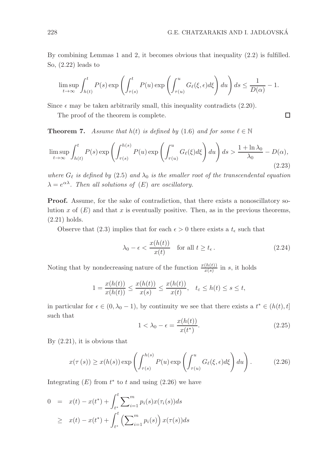$\Box$ 

By combining Lemmas 1 and 2, it becomes obvious that inequality (2.2) is fulfilled. So, (2.22) leads to

$$
\limsup_{t \to \infty} \int_{h(t)}^t P(s) \exp\left(\int_{\tau(s)}^t P(u) \exp\left(\int_{\tau(u)}^u G_{\ell}(\xi, \epsilon) d\xi\right) du\right) ds \le \frac{1}{D(\alpha)} - 1.
$$

Since  $\epsilon$  may be taken arbitrarily small, this inequality contradicts (2.20).

The proof of the theorem is complete.

**Theorem 7.** Assume that  $h(t)$  is defined by (1.6) and for some  $\ell \in \mathbb{N}$ 

$$
\limsup_{t \to \infty} \int_{h(t)}^t P(s) \exp\left(\int_{\tau(s)}^{h(s)} P(u) \exp\left(\int_{\tau(u)}^u G_\ell(\xi) d\xi\right) du\right) ds > \frac{1 + \ln \lambda_0}{\lambda_0} - D(\alpha),\tag{2.23}
$$

where  $G_{\ell}$  is defined by (2.5) and  $\lambda_0$  is the smaller root of the transcendental equation  $\lambda = e^{\alpha \lambda}$ . Then all solutions of  $(E)$  are oscillatory.

Proof. Assume, for the sake of contradiction, that there exists a nonoscillatory solution x of  $(E)$  and that x is eventually positive. Then, as in the previous theorems, (2.21) holds.

Observe that (2.3) implies that for each  $\epsilon > 0$  there exists a  $t_{\epsilon}$  such that

$$
\lambda_0 - \epsilon < \frac{x(h(t))}{x(t)} \quad \text{for all } t \ge t_\epsilon. \tag{2.24}
$$

Noting that by nondecreasing nature of the function  $\frac{x(h(t))}{x(s)}$  in s, it holds

$$
1 = \frac{x(h(t))}{x(h(t))} \le \frac{x(h(t))}{x(s)} \le \frac{x(h(t))}{x(t)}, \quad t_{\varepsilon} \le h(t) \le s \le t,
$$

in particular for  $\epsilon \in (0, \lambda_0 - 1)$ , by continuity we see that there exists a  $t^* \in (h(t), t]$ such that

$$
1 < \lambda_0 - \epsilon = \frac{x(h(t))}{x(t^*)}.\tag{2.25}
$$

By (2.21), it is obvious that

$$
x(\tau(s)) \ge x(h(s)) \exp\left(\int_{\tau(s)}^{h(s)} P(u) \exp\left(\int_{\tau(u)}^u G_\ell(\xi, \epsilon) d\xi\right) du\right). \tag{2.26}
$$

Integrating  $(E)$  from  $t^*$  to t and using  $(2.26)$  we have

$$
0 = x(t) - x(t^*) + \int_{t^*}^t \sum_{i=1}^m p_i(s)x(\tau_i(s))ds
$$
  
 
$$
\geq x(t) - x(t^*) + \int_{t^*}^t \left(\sum_{i=1}^m p_i(s)\right)x(\tau(s))ds
$$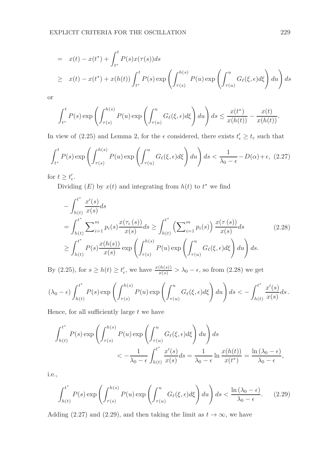$$
= x(t) - x(t^*) + \int_{t^*}^t P(s)x(\tau(s))ds
$$
  
\n
$$
\geq x(t) - x(t^*) + x(h(t)) \int_{t^*}^t P(s) \exp\left(\int_{\tau(s)}^{h(s)} P(u) \exp\left(\int_{\tau(u)}^u G_{\ell}(\xi, \epsilon) d\xi\right) du\right) ds
$$

or

$$
\int_{t^*}^t P(s) \exp\left(\int_{\tau(s)}^{h(s)} P(u) \exp\left(\int_{\tau(u)}^u G_\ell(\xi,\epsilon)d\xi\right) du\right) ds \le \frac{x(t^*)}{x(h(t))} - \frac{x(t)}{x(h(t))}.
$$

In view of (2.25) and Lemma 2, for the  $\epsilon$  considered, there exists  $t'_{\epsilon} \ge t_{\epsilon}$  such that

$$
\int_{t^*}^t P(s) \exp\left(\int_{\tau(s)}^{h(s)} P(u) \exp\left(\int_{\tau(u)}^u G_\ell(\xi, \epsilon) d\xi\right) du\right) ds < \frac{1}{\lambda_0 - \epsilon} - D(\alpha) + \epsilon, \tag{2.27}
$$

for  $t \geq t'_{\epsilon}$ .

Dividing  $(E)$  by  $x(t)$  and integrating from  $h(t)$  to  $t^*$  we find

$$
-\int_{h(t)}^{t^*} \frac{x'(s)}{x(s)} ds
$$
  
=  $\int_{h(t)}^{t^*} \sum_{i=1}^m p_i(s) \frac{x(\tau_i(s))}{x(s)} ds \ge \int_{h(t)}^{t^*} \left(\sum_{i=1}^m p_i(s)\right) \frac{x(\tau(s))}{x(s)} ds$  (2.28)  

$$
\ge \int_{h(t)}^{t^*} P(s) \frac{x(h(s))}{x(s)} \exp\left(\int_{\tau(s)}^{h(s)} P(u) \exp\left(\int_{\tau(u)}^u G_\ell(\xi, \epsilon) d\xi\right) du\right) ds.
$$

By (2.25), for  $s \ge h(t) \ge t'_{\epsilon}$ , we have  $\frac{x(h(s))}{x(s)} > \lambda_0 - \epsilon$ , so from (2.28) we get

$$
(\lambda_0 - \epsilon) \int_{h(t)}^{t^*} P(s) \exp\left(\int_{\tau(s)}^{h(s)} P(u) \exp\left(\int_{\tau(u)}^u G_\ell(\xi, \epsilon) d\xi\right) du\right) ds < - \int_{h(t)}^{t^*} \frac{x'(s)}{x(s)} ds.
$$

Hence, for all sufficiently large  $t$  we have

$$
\int_{h(t)}^{t^*} P(s) \exp\left(\int_{\tau(s)}^{h(s)} P(u) \exp\left(\int_{\tau(u)}^u G_\ell(\xi, \epsilon) d\xi\right) du\right) ds
$$
  

$$
< -\frac{1}{\lambda_0 - \epsilon} \int_{h(t)}^{t^*} \frac{x'(s)}{x(s)} ds = \frac{1}{\lambda_0 - \epsilon} \ln \frac{x(h(t))}{x(t^*)} = \frac{\ln(\lambda_0 - \epsilon)}{\lambda_0 - \epsilon},
$$

i.e.,

$$
\int_{h(t)}^{t^*} P(s) \exp\left(\int_{\tau(s)}^{h(s)} P(u) \exp\left(\int_{\tau(u)}^u G_\ell(\xi, \epsilon) d\xi\right) du\right) ds < \frac{\ln(\lambda_0 - \epsilon)}{\lambda_0 - \epsilon}.
$$
 (2.29)

Adding (2.27) and (2.29), and then taking the limit as  $t \to \infty$ , we have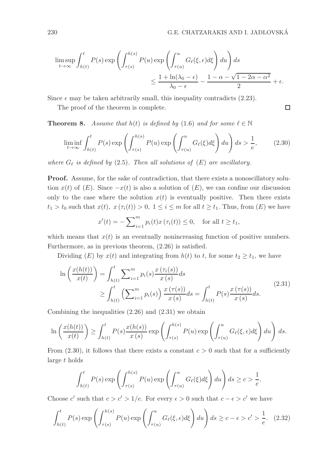$\Box$ 

$$
\limsup_{t \to \infty} \int_{h(t)}^t P(s) \exp \left( \int_{\tau(s)}^{h(s)} P(u) \exp \left( \int_{\tau(u)}^u G_\ell(\xi, \epsilon) d\xi \right) du \right) ds
$$
  

$$
\leq \frac{1 + \ln(\lambda_0 - \epsilon)}{\lambda_0 - \epsilon} - \frac{1 - \alpha - \sqrt{1 - 2\alpha - \alpha^2}}{2} + \epsilon.
$$

Since  $\epsilon$  may be taken arbitrarily small, this inequality contradicts (2.23).

The proof of the theorem is complete.

**Theorem 8.** Assume that  $h(t)$  is defined by (1.6) and for some  $\ell \in \mathbb{N}$ 

$$
\liminf_{t \to \infty} \int_{h(t)}^t P(s) \exp\left(\int_{\tau(s)}^{h(s)} P(u) \exp\left(\int_{\tau(u)}^u G_\ell(\xi) d\xi\right) du\right) ds > \frac{1}{e},\qquad(2.30)
$$

where  $G_{\ell}$  is defined by (2.5). Then all solutions of  $(E)$  are oscillatory.

Proof. Assume, for the sake of contradiction, that there exists a nonoscillatory solution  $x(t)$  of  $(E)$ . Since  $-x(t)$  is also a solution of  $(E)$ , we can confine our discussion only to the case where the solution  $x(t)$  is eventually positive. Then there exists  $t_1 > t_0$  such that  $x(t), x(\tau_i(t)) > 0, 1 \leq i \leq m$  for all  $t \geq t_1$ . Thus, from  $(E)$  we have

$$
x'(t) = -\sum_{i=1}^{m} p_i(t)x(\tau_i(t)) \le 0
$$
, for all  $t \ge t_1$ ,

which means that  $x(t)$  is an eventually nonincreasing function of positive numbers. Furthermore, as in previous theorem, (2.26) is satisfied.

Dividing (E) by  $x(t)$  and integrating from  $h(t)$  to t, for some  $t_2 \geq t_1$ , we have

$$
\ln\left(\frac{x(h(t))}{x(t)}\right) = \int_{h(t)}^{t} \sum_{i=1}^{m} p_i(s) \frac{x(\tau_i(s))}{x(s)} ds
$$
\n
$$
\geq \int_{h(t)}^{t} \left(\sum_{i=1}^{m} p_i(s)\right) \frac{x(\tau(s))}{x(s)} ds = \int_{h(t)}^{t} P(s) \frac{x(\tau(s))}{x(s)} ds.
$$
\n(2.31)

Combining the inequalities (2.26) and (2.31) we obtain

$$
\ln\left(\frac{x(h(t))}{x(t)}\right) \ge \int_{h(t)}^t P(s) \frac{x(h(s))}{x(s)} \exp\left(\int_{\tau(s)}^{h(s)} P(u) \exp\left(\int_{\tau(u)}^u G_{\ell}(\xi, \epsilon) d\xi\right) du\right) ds.
$$

From (2.30), it follows that there exists a constant  $c > 0$  such that for a sufficiently large t holds

$$
\int_{h(t)}^t P(s) \exp\left(\int_{\tau(s)}^{h(s)} P(u) \exp\left(\int_{\tau(u)}^u G_{\ell}(\xi) d\xi\right) du\right) ds \geq c > \frac{1}{e}.
$$

Choose  $c'$  such that  $c > c' > 1/e$ . For every  $\epsilon > 0$  such that  $c - \epsilon > c'$  we have

$$
\int_{h(t)}^t P(s) \exp\left(\int_{\tau(s)}^{h(s)} P(u) \exp\left(\int_{\tau(u)}^u G_\ell(\xi, \epsilon) d\xi\right) du\right) ds \ge c - \epsilon > c' > \frac{1}{e}.\tag{2.32}
$$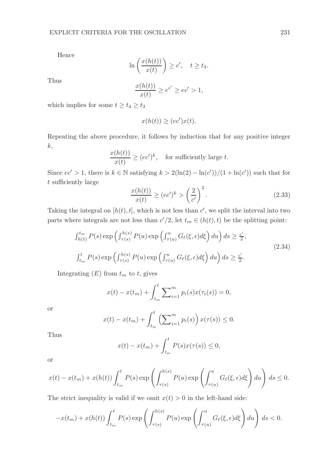Hence

$$
\ln\left(\frac{x(h(t))}{x(t)}\right) \ge c', \quad t \ge t_3.
$$

Thus

$$
\frac{x(h(t))}{x(t)} \ge e^{c'} \ge ec' > 1,
$$

which implies for some  $t \geq t_4 \geq t_3$ 

$$
x(h(t)) \ge (ec')x(t).
$$

Repeating the above procedure, it follows by induction that for any positive integer k,

$$
\frac{x(h(t))}{x(t)} \ge (ec')^k, \quad \text{for sufficiently large } t.
$$

Since  $ec' > 1$ , there is  $k \in \mathbb{N}$  satisfying  $k > 2(\ln(2) - \ln(c'))/(1 + \ln(c'))$  such that for t sufficiently large

$$
\frac{x(h(t))}{x(t)} \ge (ec')^k > \left(\frac{2}{c'}\right)^2.
$$
\n(2.33)

Taking the integral on  $[h(t), t]$ , which is not less than  $c'$ , we split the interval into two parts where integrals are not less than  $c'/2$ , let  $t_m \in (h(t), t)$  be the splitting point:

$$
\int_{h(t)}^{t_m} P(s) \exp\left(\int_{\tau(s)}^{h(s)} P(u) \exp\left(\int_{\tau(u)}^u G_\ell(\xi, \epsilon) d\xi\right) du\right) ds \ge \frac{c'}{2},
$$
\n
$$
\int_{t_m}^t P(s) \exp\left(\int_{\tau(s)}^{h(s)} P(u) \exp\left(\int_{\tau(u)}^u G_\ell(\xi, \epsilon) d\xi\right) du\right) ds \ge \frac{c'}{2}.
$$
\n(2.34)

Integrating  $(E)$  from  $t_m$  to  $t$ , gives

$$
x(t) - x(t_m) + \int_{t_m}^t \sum_{i=1}^m p_i(s) x(\tau_i(s)) = 0,
$$

or

$$
x(t) - x(t_m) + \int_{t_m}^t \left( \sum_{i=1}^m p_i(s) \right) x(\tau(s)) \le 0.
$$

Thus

$$
x(t) - x(t_m) + \int_{t_m}^t P(s)x(\tau(s)) \le 0,
$$

or

$$
x(t) - x(t_m) + x(h(t)) \int_{t_m}^t P(s) \exp\left(\int_{\tau(s)}^{h(s)} P(u) \exp\left(\int_{\tau(u)}^u G_\ell(\xi, \epsilon) d\xi\right) du\right) ds \le 0.
$$

The strict inequality is valid if we omit  $x(t) > 0$  in the left-hand side:

$$
-x(t_m) + x(h(t)) \int_{t_m}^t P(s) \exp\left(\int_{\tau(s)}^{h(s)} P(u) \exp\left(\int_{\tau(u)}^u G_\ell(\xi, \epsilon) d\xi\right) du\right) ds < 0.
$$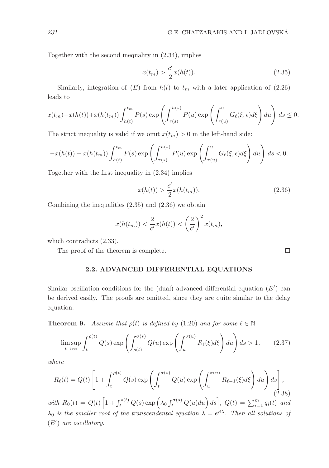Together with the second inequality in (2.34), implies

$$
x(t_m) > \frac{c'}{2}x(h(t)).
$$
\n(2.35)

Similarly, integration of  $(E)$  from  $h(t)$  to  $t_m$  with a later application of  $(2.26)$ leads to

$$
x(t_m)-x(h(t))+x(h(t_m))\int_{h(t)}^{t_m} P(s) \exp\left(\int_{\tau(s)}^{h(s)} P(u) \exp\left(\int_{\tau(u)}^u G_\ell(\xi,\epsilon)d\xi\right) du\right) ds \le 0.
$$

The strict inequality is valid if we omit  $x(t_m) > 0$  in the left-hand side:

$$
-x(h(t)) + x(h(t_m)) \int_{h(t)}^{t_m} P(s) \exp\left(\int_{\tau(s)}^{h(s)} P(u) \exp\left(\int_{\tau(u)}^u G_\ell(\xi, \epsilon) d\xi\right) du\right) ds < 0.
$$

Together with the first inequality in (2.34) implies

$$
x(h(t)) > \frac{c'}{2}x(h(t_m)).
$$
\n(2.36)

Combining the inequalities  $(2.35)$  and  $(2.36)$  we obtain

$$
x(h(t_m)) < \frac{2}{c'}x(h(t)) < \left(\frac{2}{c'}\right)^2 x(t_m),
$$

which contradicts (2.33).

The proof of the theorem is complete.

#### 2.2. ADVANCED DIFFERENTIAL EQUATIONS

Similar oscillation conditions for the (dual) advanced differential equation  $(E')$  can be derived easily. The proofs are omitted, since they are quite similar to the delay equation.

**Theorem 9.** Assume that  $\rho(t)$  is defined by (1.20) and for some  $\ell \in \mathbb{N}$ 

$$
\limsup_{t \to \infty} \int_{t}^{\rho(t)} Q(s) \exp\left(\int_{\rho(t)}^{\sigma(s)} Q(u) \exp\left(\int_{u}^{\sigma(u)} R_{\ell}(\xi) d\xi\right) du\right) ds > 1, \qquad (2.37)
$$

where

$$
R_{\ell}(t) = Q(t) \left[ 1 + \int_{t}^{\rho(t)} Q(s) \exp \left( \int_{t}^{\sigma(s)} Q(u) \exp \left( \int_{u}^{\sigma(u)} R_{\ell-1}(\xi) d\xi \right) du \right) ds \right],
$$
\n(2.38)

with  $R_0(t) = Q(t) \left[ 1 + \int_t^{\rho(t)} Q(s) \exp \left( \lambda_0 \int_t^{\sigma(s)} Q(u) du \right) ds \right]$ ,  $Q(t) = \sum_{i=1}^m q_i(t)$  and  $\lambda_0$  is the smaller root of the transcendental equation  $\lambda = e^{\beta \lambda}$ . Then all solutions of (E′ ) are oscillatory.

 $\Box$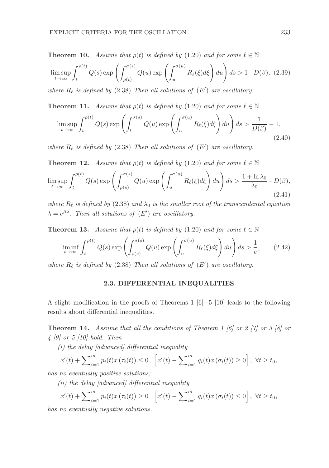**Theorem 10.** Assume that  $\rho(t)$  is defined by (1.20) and for some  $\ell \in \mathbb{N}$ 

$$
\limsup_{t \to \infty} \int_{t}^{\rho(t)} Q(s) \exp \left( \int_{\rho(t)}^{\sigma(s)} Q(u) \exp \left( \int_{u}^{\sigma(u)} R_{\ell}(\xi) d\xi \right) du \right) ds > 1 - D(\beta), (2.39)
$$

where  $R_{\ell}$  is defined by (2.38) Then all solutions of  $(E')$  are oscillatory.

**Theorem 11.** Assume that  $\rho(t)$  is defined by (1.20) and for some  $\ell \in \mathbb{N}$ 

$$
\limsup_{t \to \infty} \int_{t}^{\rho(t)} Q(s) \exp\left(\int_{t}^{\sigma(s)} Q(u) \exp\left(\int_{u}^{\sigma(u)} R_{\ell}(\xi) d\xi\right) du\right) ds > \frac{1}{D(\beta)} - 1,
$$
\n(2.40)

where  $R_{\ell}$  is defined by (2.38) Then all solutions of  $(E')$  are oscillatory.

**Theorem 12.** Assume that  $\rho(t)$  is defined by (1.20) and for some  $\ell \in \mathbb{N}$ 

$$
\limsup_{t \to \infty} \int_{t}^{\rho(t)} Q(s) \exp\left(\int_{\rho(s)}^{\sigma(s)} Q(u) \exp\left(\int_{u}^{\sigma(u)} R_{\ell}(\xi) d\xi\right) du\right) ds > \frac{1 + \ln \lambda_0}{\lambda_0} - D(\beta),\tag{2.41}
$$

where  $R_{\ell}$  is defined by (2.38) and  $\lambda_0$  is the smaller root of the transcendental equation  $\lambda = e^{\beta \lambda}$ . Then all solutions of  $(E')$  are oscillatory.

**Theorem 13.** Assume that  $\rho(t)$  is defined by (1.20) and for some  $\ell \in \mathbb{N}$ 

$$
\liminf_{t \to \infty} \int_{t}^{\rho(t)} Q(s) \exp\left(\int_{\rho(s)}^{\sigma(s)} Q(u) \exp\left(\int_{u}^{\sigma(u)} R_{\ell}(\xi) d\xi\right) du\right) ds > \frac{1}{e}, \qquad (2.42)
$$

where  $R_{\ell}$  is defined by (2.38) Then all solutions of  $(E')$  are oscillatory.

#### 2.3. DIFFERENTIAL INEQUALITIES

A slight modification in the proofs of Theorems 1 [6]−5 [10] leads to the following results about differential inequalities.

**Theorem 14.** Assume that all the conditions of Theorem 1 [6] or 2 [7] or 3 [8] or 4 [9] or 5 [10] hold. Then

 $(i)$  the delay [advanced] differential inequality

$$
x'(t) + \sum_{i=1}^{m} p_i(t)x(\tau_i(t)) \le 0 \quad \left[ x'(t) - \sum_{i=1}^{m} q_i(t)x(\sigma_i(t)) \ge 0 \right], \ \forall t \ge t_0,
$$

has no eventually positive solutions;

(ii) the delay [advanced] differential inequality

$$
x'(t) + \sum_{i=1}^{m} p_i(t)x(\tau_i(t)) \ge 0 \quad \left[ x'(t) - \sum_{i=1}^{m} q_i(t)x(\sigma_i(t)) \le 0 \right], \ \forall t \ge t_0,
$$

has no eventually negative solutions.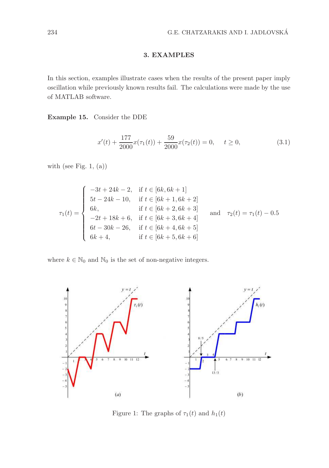## 3. EXAMPLES

In this section, examples illustrate cases when the results of the present paper imply oscillation while previously known results fail. The calculations were made by the use of MATLAB software.

Example 15. Consider the DDE

$$
x'(t) + \frac{177}{2000}x(\tau_1(t)) + \frac{59}{2000}x(\tau_2(t)) = 0, \quad t \ge 0,
$$
\n(3.1)

with (see Fig. 1,  $(a)$ )

$$
\tau_1(t) = \begin{cases}\n-3t + 24k - 2, & \text{if } t \in [6k, 6k + 1] \\
5t - 24k - 10, & \text{if } t \in [6k + 1, 6k + 2] \\
6k, & \text{if } t \in [6k + 2, 6k + 3] \\
-2t + 18k + 6, & \text{if } t \in [6k + 3, 6k + 4] \\
6t - 30k - 26, & \text{if } t \in [6k + 4, 6k + 5] \\
6k + 4, & \text{if } t \in [6k + 5, 6k + 6]\n\end{cases}
$$
 and  $\tau_2(t) = \tau_1(t) - 0.5$ 

where  $k \in \mathbb{N}_0$  and  $\mathbb{N}_0$  is the set of non-negative integers.



Figure 1: The graphs of  $\tau_1(t)$  and  $h_1(t)$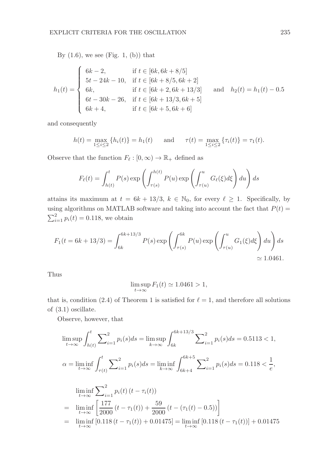By  $(1.6)$ , we see (Fig. 1, (b)) that

$$
h_1(t) = \begin{cases} 6k - 2, & \text{if } t \in [6k, 6k + 8/5] \\ 5t - 24k - 10, & \text{if } t \in [6k + 8/5, 6k + 2] \\ 6k, & \text{if } t \in [6k + 2, 6k + 13/3] \\ 6t - 30k - 26, & \text{if } t \in [6k + 13/3, 6k + 5] \\ 6k + 4, & \text{if } t \in [6k + 5, 6k + 6] \end{cases} \text{ and } h_2(t) = h_1(t) - 0.5
$$

and consequently

$$
h(t) = \max_{1 \leq i \leq 2} \{h_i(t)\} = h_1(t) \quad \text{and} \quad \tau(t) = \max_{1 \leq i \leq 2} \{\tau_i(t)\} = \tau_1(t).
$$

Observe that the function  $F_{\ell}: [0, \infty) \to \mathbb{R}_{+}$  defined as

$$
F_{\ell}(t) = \int_{h(t)}^{t} P(s) \exp\left(\int_{\tau(s)}^{h(t)} P(u) \exp\left(\int_{\tau(u)}^{u} G_{\ell}(\xi) d\xi\right) du\right) ds
$$

attains its maximum at  $t = 6k + 13/3$ ,  $k \in \mathbb{N}_0$ , for every  $\ell \geq 1$ . Specifically, by using algorithms on MATLAB software and taking into account the fact that  $P(t) =$  $\sum_{i=1}^{2} p_i(t) = 0.118$ , we obtain

$$
F_1(t = 6k + 13/3) = \int_{6k}^{6k + 13/3} P(s) \exp\left(\int_{\tau(s)}^{6k} P(u) \exp\left(\int_{\tau(u)}^u G_1(\xi) d\xi\right) du\right) ds
$$
  
\approx 1.0461.

Thus

$$
\limsup_{t \to \infty} F_1(t) \simeq 1.0461 > 1,
$$

that is, condition (2.4) of Theorem 1 is satisfied for  $\ell = 1$ , and therefore all solutions of (3.1) oscillate.

Observe, however, that

$$
\limsup_{t \to \infty} \int_{h(t)}^{t} \sum_{i=1}^{2} p_i(s)ds = \limsup_{k \to \infty} \int_{6k}^{6k+13/3} \sum_{i=1}^{2} p_i(s)ds = 0.5113 < 1,
$$
  
\n
$$
\alpha = \liminf_{t \to \infty} \int_{\tau(t)}^{t} \sum_{i=1}^{2} p_i(s)ds = \liminf_{k \to \infty} \int_{6k+4}^{6k+5} \sum_{i=1}^{2} p_i(s)ds = 0.118 < \frac{1}{e},
$$
  
\n
$$
\liminf_{t \to \infty} \sum_{i=1}^{2} p_i(t) (t - \tau_i(t))
$$
  
\n
$$
= \liminf_{t \to \infty} \left[ \frac{177}{2000} (t - \tau_1(t)) + \frac{59}{2000} (t - (\tau_1(t) - 0.5)) \right]
$$
  
\n
$$
= \liminf_{t \to \infty} [0.118 (t - \tau_1(t)) + 0.01475] = \liminf_{t \to \infty} [0.118 (t - \tau_1(t))] + 0.01475
$$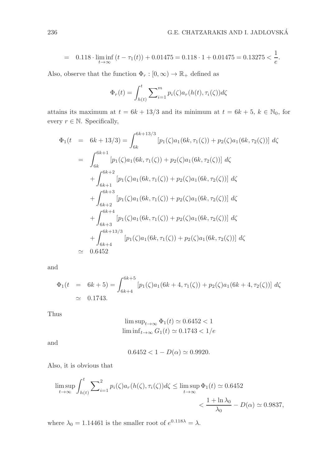$$
= 0.118 \cdot \liminf_{t \to \infty} (t - \tau_1(t)) + 0.01475 = 0.118 \cdot 1 + 0.01475 = 0.13275 < \frac{1}{e}.
$$

Also, observe that the function  $\Phi_r : [0, \infty) \to \mathbb{R}_+$  defined as

$$
\Phi_r(t) = \int_{h(t)}^t \sum_{i=1}^m p_i(\zeta) a_r(h(t), \tau_i(\zeta)) d\zeta
$$

attains its maximum at  $t = 6k + 13/3$  and its minimum at  $t = 6k + 5$ ,  $k \in \mathbb{N}_0$ , for every  $r \in \mathbb{N}$ . Specifically,

$$
\Phi_1(t) = 6k + 13/3 = \int_{6k}^{6k + 13/3} [p_1(\zeta)a_1(6k, \tau_1(\zeta)) + p_2(\zeta)a_1(6k, \tau_2(\zeta))] d\zeta
$$
\n
$$
= \int_{6k}^{6k + 1} [p_1(\zeta)a_1(6k, \tau_1(\zeta)) + p_2(\zeta)a_1(6k, \tau_2(\zeta))] d\zeta
$$
\n
$$
+ \int_{6k + 1}^{6k + 2} [p_1(\zeta)a_1(6k, \tau_1(\zeta)) + p_2(\zeta)a_1(6k, \tau_2(\zeta))] d\zeta
$$
\n
$$
+ \int_{6k + 2}^{6k + 3} [p_1(\zeta)a_1(6k, \tau_1(\zeta)) + p_2(\zeta)a_1(6k, \tau_2(\zeta))] d\zeta
$$
\n
$$
+ \int_{6k + 3}^{6k + 4} [p_1(\zeta)a_1(6k, \tau_1(\zeta)) + p_2(\zeta)a_1(6k, \tau_2(\zeta))] d\zeta
$$
\n
$$
+ \int_{6k + 4}^{6k + 13/3} [p_1(\zeta)a_1(6k, \tau_1(\zeta)) + p_2(\zeta)a_1(6k, \tau_2(\zeta))] d\zeta
$$
\n
$$
\approx 0.6452
$$

and

$$
\Phi_1(t = 6k + 5) = \int_{6k+4}^{6k+5} [p_1(\zeta)a_1(6k + 4, \tau_1(\zeta)) + p_2(\zeta)a_1(6k + 4, \tau_2(\zeta))] d\zeta
$$
  
  $\simeq 0.1743.$ 

Thus

$$
\limsup_{t \to \infty} \Phi_1(t) \simeq 0.6452 < 1
$$
\n
$$
\liminf_{t \to \infty} G_1(t) \simeq 0.1743 < 1/e
$$

and

$$
0.6452 < 1 - D(\alpha) \simeq 0.9920.
$$

Also, it is obvious that

$$
\limsup_{t \to \infty} \int_{h(t)}^{t} \sum_{i=1}^{2} p_i(\zeta) a_r(h(\zeta), \tau_i(\zeta)) d\zeta \le \limsup_{t \to \infty} \Phi_1(t) \simeq 0.6452
$$
  
< 
$$
< \frac{1 + \ln \lambda_0}{\lambda_0} - D(\alpha) \simeq 0.9837,
$$

where  $\lambda_0 = 1.14461$  is the smaller root of  $e^{0.118\lambda} = \lambda$ .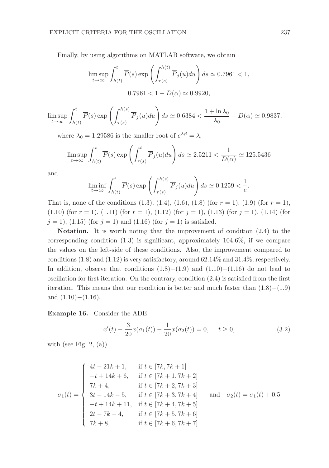Finally, by using algorithms on MATLAB software, we obtain

$$
\limsup_{t \to \infty} \int_{h(t)}^{t} \overline{P}(s) \exp\left(\int_{\tau(s)}^{h(t)} \overline{P}_j(u) du\right) ds \simeq 0.7961 < 1,
$$
  
0.7961  $< 1 - D(\alpha) \simeq 0.9920$ ,

$$
\limsup_{t \to \infty} \int_{h(t)}^t \overline{P}(s) \exp\left(\int_{\tau(s)}^{h(s)} \overline{P}_j(u) du\right) ds \simeq 0.6384 < \frac{1 + \ln \lambda_0}{\lambda_0} - D(\alpha) \simeq 0.9837,
$$

where  $\lambda_0 = 1.29586$  is the smaller root of  $e^{\lambda\beta} = \lambda$ ,

$$
\limsup_{t \to \infty} \int_{h(t)}^t \overline{P}(s) \exp\left(\int_{\tau(s)}^t \overline{P}_j(u) du\right) ds \simeq 2.5211 < \frac{1}{D(\alpha)} \simeq 125.5436
$$

and

$$
\liminf_{t \to \infty} \int_{h(t)}^t \overline{P}(s) \exp\left(\int_{\tau(s)}^{h(s)} \overline{P}_j(u) du\right) ds \simeq 0.1259 < \frac{1}{e}.
$$

That is, none of the conditions  $(1.3)$ ,  $(1.4)$ ,  $(1.6)$ ,  $(1.8)$  (for  $r = 1$ ),  $(1.9)$  (for  $r = 1$ ),  $(1.10)$  (for  $r = 1$ ),  $(1.11)$  (for  $r = 1$ ),  $(1.12)$  (for  $j = 1$ ),  $(1.13)$  (for  $j = 1$ ),  $(1.14)$  (for  $j = 1$ , (1.15) (for  $j = 1$ ) and (1.16) (for  $j = 1$ ) is satisfied.

Notation. It is worth noting that the improvement of condition  $(2.4)$  to the corresponding condition  $(1.3)$  is significant, approximately  $104.6\%$ , if we compare the values on the left-side of these conditions. Also, the improvement compared to conditions  $(1.8)$  and  $(1.12)$  is very satisfactory, around  $62.14\%$  and  $31.4\%$ , respectively. In addition, observe that conditions  $(1.8)$ − $(1.9)$  and  $(1.10)$ − $(1.16)$  do not lead to oscillation for first iteration. On the contrary, condition (2.4) is satisfied from the first iteration. This means that our condition is better and much faster than (1.8)−(1.9) and  $(1.10)–(1.16)$ .

Example 16. Consider the ADE

$$
x'(t) - \frac{3}{20}x(\sigma_1(t)) - \frac{1}{20}x(\sigma_2(t)) = 0, \quad t \ge 0,
$$
\n(3.2)

with (see Fig. 2,  $(a)$ )

$$
\sigma_1(t) = \begin{cases}\n4t - 21k + 1, & \text{if } t \in [7k, 7k + 1] \\
-t + 14k + 6, & \text{if } t \in [7k + 1, 7k + 2] \\
7k + 4, & \text{if } t \in [7k + 2, 7k + 3] \\
3t - 14k - 5, & \text{if } t \in [7k + 3, 7k + 4] \\
-t + 14k + 11, & \text{if } t \in [7k + 4, 7k + 5] \\
2t - 7k - 4, & \text{if } t \in [7k + 5, 7k + 6] \\
7k + 8, & \text{if } t \in [7k + 6, 7k + 7]\n\end{cases}
$$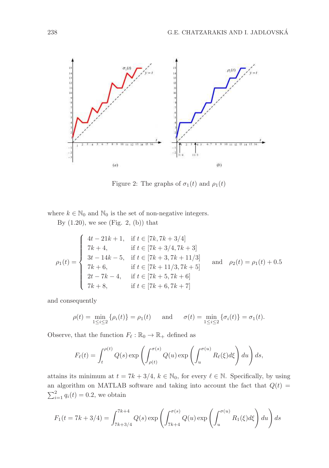

Figure 2: The graphs of  $\sigma_1(t)$  and  $\rho_1(t)$ 

where  $k \in \mathbb{N}_0$  and  $\mathbb{N}_0$  is the set of non-negative integers.

By  $(1.20)$ , we see (Fig. 2, (b)) that

$$
\rho_1(t) = \begin{cases}\n4t - 21k + 1, & \text{if } t \in [7k, 7k + 3/4] \\
7k + 4, & \text{if } t \in [7k + 3/4, 7k + 3] \\
3t - 14k - 5, & \text{if } t \in [7k + 3, 7k + 11/3] \\
7k + 6, & \text{if } t \in [7k + 11/3, 7k + 5] \\
2t - 7k - 4, & \text{if } t \in [7k + 5, 7k + 6] \\
7k + 8, & \text{if } t \in [7k + 6, 7k + 7]\n\end{cases}
$$
 and  $\rho_2(t) = \rho_1(t) + 0.5$ 

and consequently

$$
\rho(t) = \min_{1 \le i \le 2} {\rho_i(t)} = \rho_1(t)
$$
 and  $\sigma(t) = \min_{1 \le i \le 2} {\sigma_i(t)} = \sigma_1(t)$ .

Observe, that the function  $F_{\ell} : \mathbb{R}_0 \to \mathbb{R}_+$  defined as

$$
F_{\ell}(t) = \int_{t}^{\rho(t)} Q(s) \exp\left(\int_{\rho(t)}^{\sigma(s)} Q(u) \exp\left(\int_{u}^{\sigma(u)} R_{\ell}(\xi) d\xi\right) du\right) ds,
$$

attains its minimum at  $t = 7k + 3/4$ ,  $k \in \mathbb{N}_0$ , for every  $\ell \in \mathbb{N}$ . Specifically, by using an algorithm on MATLAB software and taking into account the fact that  $Q(t)$  =  $\sum_{i=1}^{2} q_i(t) = 0.2$ , we obtain

$$
F_1(t = 7k + 3/4) = \int_{7k + 3/4}^{7k + 4} Q(s) \exp\left(\int_{7k + 4}^{\sigma(s)} Q(u) \exp\left(\int_u^{\sigma(u)} R_1(\xi) d\xi\right) du\right) ds
$$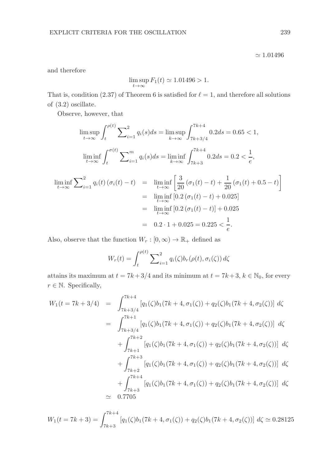$\simeq 1.01496$ 

and therefore

$$
\limsup_{t \to \infty} F_1(t) \simeq 1.01496 > 1.
$$

That is, condition (2.37) of Theorem 6 is satisfied for  $\ell = 1$ , and therefore all solutions of (3.2) oscillate.

Observe, however, that

$$
\limsup_{t \to \infty} \int_{t}^{\rho(t)} \sum_{i=1}^{2} q_{i}(s) ds = \limsup_{k \to \infty} \int_{7k+3/4}^{7k+4} 0.2 ds = 0.65 < 1,
$$
  

$$
\liminf_{t \to \infty} \int_{t}^{\sigma(t)} \sum_{i=1}^{m} q_{i}(s) ds = \liminf_{k \to \infty} \int_{7k+3}^{7k+4} 0.2 ds = 0.2 < \frac{1}{e},
$$
  

$$
\liminf_{t \to \infty} \sum_{i=1}^{2} q_{i}(t) (\sigma_{i}(t) - t) = \liminf_{t \to \infty} \left[ \frac{3}{20} (\sigma_{1}(t) - t) + \frac{1}{20} (\sigma_{1}(t) + 0.5 - t) \right]
$$
  

$$
= \liminf_{t \to \infty} [0.2 (\sigma_{1}(t) - t) + 0.025]
$$
  

$$
= \liminf_{t \to \infty} [0.2 (\sigma_{1}(t) - t)] + 0.025
$$
  

$$
= 0.2 \cdot 1 + 0.025 = 0.225 < \frac{1}{e}.
$$

Also, observe that the function  $W_r : [0, \infty) \to \mathbb{R}_+$  defined as

$$
W_r(t) = \int_t^{\rho(t)} \sum_{i=1}^2 q_i(\zeta) b_r(\rho(t), \sigma_i(\zeta)) d\zeta
$$

attains its maximum at  $t = 7k + 3/4$  and its minimum at  $t = 7k + 3$ ,  $k \in \mathbb{N}_0$ , for every  $r \in \mathbb{N}$ . Specifically,

$$
W_{1}(t = 7k + 3/4) = \int_{7k+3/4}^{7k+4} [q_{1}(\zeta)b_{1}(7k + 4, \sigma_{1}(\zeta)) + q_{2}(\zeta)b_{1}(7k + 4, \sigma_{2}(\zeta))] d\zeta
$$
  
\n
$$
= \int_{7k+3/4}^{7k+1} [q_{1}(\zeta)b_{1}(7k + 4, \sigma_{1}(\zeta)) + q_{2}(\zeta)b_{1}(7k + 4, \sigma_{2}(\zeta))] d\zeta
$$
  
\n
$$
+ \int_{7k+1}^{7k+2} [q_{1}(\zeta)b_{1}(7k + 4, \sigma_{1}(\zeta)) + q_{2}(\zeta)b_{1}(7k + 4, \sigma_{2}(\zeta))] d\zeta
$$
  
\n
$$
+ \int_{7k+2}^{7k+3} [q_{1}(\zeta)b_{1}(7k + 4, \sigma_{1}(\zeta)) + q_{2}(\zeta)b_{1}(7k + 4, \sigma_{2}(\zeta))] d\zeta
$$
  
\n
$$
+ \int_{7k+3}^{7k+4} [q_{1}(\zeta)b_{1}(7k + 4, \sigma_{1}(\zeta)) + q_{2}(\zeta)b_{1}(7k + 4, \sigma_{2}(\zeta))] d\zeta
$$
  
\n
$$
\approx 0.7705
$$

$$
W_1(t = 7k+3) = \int_{7k+3}^{7k+4} [q_1(\zeta)b_1(7k+4, \sigma_1(\zeta)) + q_2(\zeta)b_1(7k+4, \sigma_2(\zeta))] d\zeta \simeq 0.28125
$$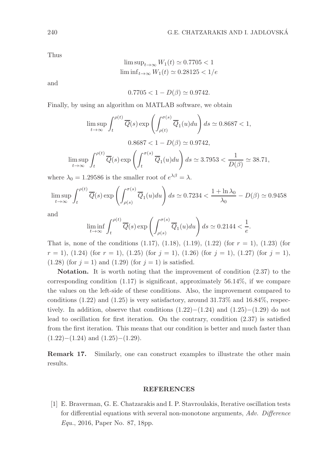Thus

$$
\limsup_{t \to \infty} W_1(t) \simeq 0.7705 < 1
$$
\n
$$
\liminf_{t \to \infty} W_1(t) \simeq 0.28125 < 1/e
$$

and

$$
0.7705 < 1 - D(\beta) \simeq 0.9742.
$$

Finally, by using an algorithm on MATLAB software, we obtain

$$
\limsup_{t \to \infty} \int_{t}^{\rho(t)} \overline{Q}(s) \exp\left(\int_{\rho(t)}^{\sigma(s)} \overline{Q}_{1}(u) du\right) ds \simeq 0.8687 < 1,
$$
  

$$
0.8687 < 1 - D(\beta) \simeq 0.9742,
$$
  

$$
\limsup_{t \to \infty} \int_{t}^{\rho(t)} \overline{Q}(s) \exp\left(\int_{t}^{\sigma(s)} \overline{Q}_{1}(u) du\right) ds \simeq 3.7953 < \frac{1}{D(\beta)} \simeq 38.71,
$$

where  $\lambda_0 = 1.29586$  is the smaller root of  $e^{\lambda\beta} = \lambda$ .

$$
\limsup_{t \to \infty} \int_{t}^{\rho(t)} \overline{Q}(s) \exp\left(\int_{\rho(s)}^{\sigma(s)} \overline{Q}_1(u) du\right) ds \simeq 0.7234 < \frac{1 + \ln \lambda_0}{\lambda_0} - D(\beta) \simeq 0.9458
$$

and

$$
\liminf_{t \to \infty} \int_{t}^{\rho(t)} \overline{Q}(s) \exp\left(\int_{\rho(s)}^{\sigma(s)} \overline{Q}_1(u) du\right) ds \simeq 0.2144 < \frac{1}{e}.
$$

That is, none of the conditions  $(1.17)$ ,  $(1.18)$ ,  $(1.19)$ ,  $(1.22)$  (for  $r = 1$ ),  $(1.23)$  (for  $r = 1$ ,  $(1.24)$  (for  $r = 1$ ),  $(1.25)$  (for  $j = 1$ ),  $(1.26)$  (for  $j = 1$ ),  $(1.27)$  (for  $j = 1$ ), (1.28) (for  $j = 1$ ) and (1.29) (for  $j = 1$ ) is satisfied.

Notation. It is worth noting that the improvement of condition (2.37) to the corresponding condition  $(1.17)$  is significant, approximately 56.14%, if we compare the values on the left-side of these conditions. Also, the improvement compared to conditions  $(1.22)$  and  $(1.25)$  is very satisfactory, around  $31.73\%$  and  $16.84\%$ , respectively. In addition, observe that conditions  $(1.22)$ − $(1.24)$  and  $(1.25)$ − $(1.29)$  do not lead to oscillation for first iteration. On the contrary, condition (2.37) is satisfied from the first iteration. This means that our condition is better and much faster than  $(1.22)–(1.24)$  and  $(1.25)–(1.29)$ .

Remark 17. Similarly, one can construct examples to illustrate the other main results.

#### REFERENCES

[1] E. Braverman, G. E. Chatzarakis and I. P. Stavroulakis, Iterative oscillation tests for differential equations with several non-monotone arguments, Adv. Difference Equ., 2016, Paper No. 87, 18pp.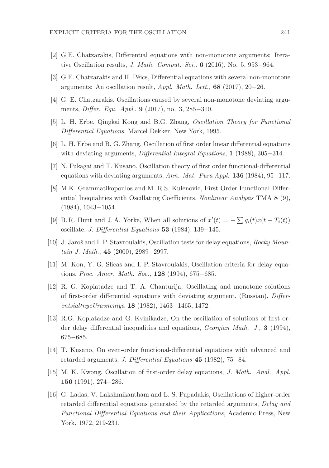- [2] G.E. Chatzarakis, Differential equations with non-monotone arguments: Iterative Oscillation results, J. Math. Comput. Sci., 6  $(2016)$ , No. 5, 953–964.
- [3] G.E. Chatzarakis and H. Péics, Differential equations with several non-monotone arguments: An oscillation result, Appl. Math. Lett., 68 (2017), 20−26.
- [4] G. E. Chatzarakis, Oscillations caused by several non-monotone deviating arguments, Differ. Equ. Appl., 9 (2017), no. 3, 285−310.
- [5] L. H. Erbe, Qingkai Kong and B.G. Zhang, Oscillation Theory for Functional Differential Equations, Marcel Dekker, New York, 1995.
- [6] L. H. Erbe and B. G. Zhang, Oscillation of first order linear differential equations with deviating arguments, Differential Integral Equations, 1 (1988), 305−314.
- [7] N. Fukagai and T. Kusano, Oscillation theory of first order functional-differential equations with deviating arguments, Ann. Mat. Pura Appl. **136** (1984), 95−117.
- [8] M.K. Grammatikopoulos and M. R.S. Kulenovic, First Order Functional Differential Inequalities with Oscillating Coefficients, Nonlinear Analysis TMA 8 (9), (1984), 1043−1054.
- [9] B.R. Hunt and J.A. Yorke, When all solutions of  $x'(t) = -\sum q_i(t)x(t T_i(t))$ oscillate, J. Differential Equations 53 (1984), 139−145.
- [10] J. Jaroš and I. P. Stavroulakis, Oscillation tests for delay equations, Rocky Mountain J. Math., 45 (2000), 2989−2997.
- [11] M. Kon, Y. G. Sficas and I. P. Stavroulakis, Oscillation criteria for delay equations, Proc. Amer. Math. Soc., 128 (1994), 675−685.
- [12] R. G. Koplatadze and T. A. Chanturija, Oscillating and monotone solutions of first-order differential equations with deviating argument, (Russian), Differentsial′nyeUravneniya 18 (1982), 1463−1465, 1472.
- [13] R.G. Koplatadze and G. Kvinikadze, On the oscillation of solutions of first order delay differential inequalities and equations, Georgian Math. J., 3 (1994), 675−685.
- [14] T. Kusano, On even-order functional-differential equations with advanced and retarded arguments, J. Differential Equations 45 (1982), 75−84.
- [15] M. K. Kwong, Oscillation of first-order delay equations, J. Math. Anal. Appl. 156 (1991), 274−286.
- [16] G. Ladas, V. Lakshmikantham and L. S. Papadakis, Oscillations of higher-order retarded differential equations generated by the retarded arguments, Delay and Functional Differential Equations and their Applications, Academic Press, New York, 1972, 219-231.